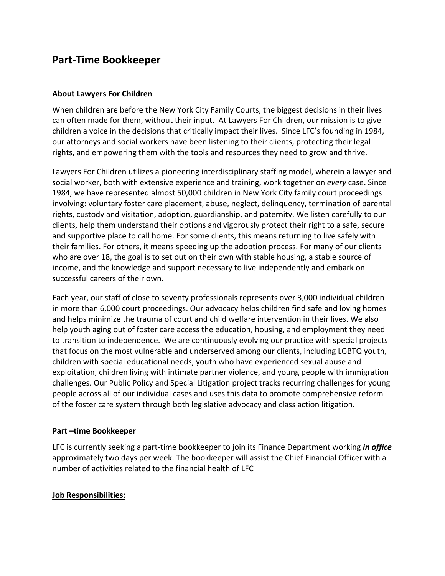# **Part-Time Bookkeeper**

### **About Lawyers For Children**

When children are before the New York City Family Courts, the biggest decisions in their lives can often made for them, without their input. At Lawyers For Children, our mission is to give children a voice in the decisions that critically impact their lives. Since LFC's founding in 1984, our attorneys and social workers have been listening to their clients, protecting their legal rights, and empowering them with the tools and resources they need to grow and thrive.

Lawyers For Children utilizes a pioneering interdisciplinary staffing model, wherein a lawyer and social worker, both with extensive experience and training, work together on *every* case. Since 1984, we have represented almost 50,000 children in New York City family court proceedings involving: voluntary foster care placement, abuse, neglect, delinquency, termination of parental rights, custody and visitation, adoption, guardianship, and paternity. We listen carefully to our clients, help them understand their options and vigorously protect their right to a safe, secure and supportive place to call home. For some clients, this means returning to live safely with their families. For others, it means speeding up the adoption process. For many of our clients who are over 18, the goal is to set out on their own with stable housing, a stable source of income, and the knowledge and support necessary to live independently and embark on successful careers of their own.

Each year, our staff of close to seventy professionals represents over 3,000 individual children in more than 6,000 court proceedings. Our advocacy helps children find safe and loving homes and helps minimize the trauma of court and child welfare intervention in their lives. We also help youth aging out of foster care access the education, housing, and employment they need to transition to independence. We are continuously evolving our practice with special projects that focus on the most vulnerable and underserved among our clients, including LGBTQ youth, children with special educational needs, youth who have experienced sexual abuse and exploitation, children living with intimate partner violence, and young people with immigration challenges. Our Public Policy and Special Litigation project tracks recurring challenges for young people across all of our individual cases and uses this data to promote comprehensive reform of the foster care system through both legislative advocacy and class action litigation.

#### **Part –time Bookkeeper**

LFC is currently seeking a part-time bookkeeper to join its Finance Department working *in office* approximately two days per week. The bookkeeper will assist the Chief Financial Officer with a number of activities related to the financial health of LFC

#### **Job Responsibilities:**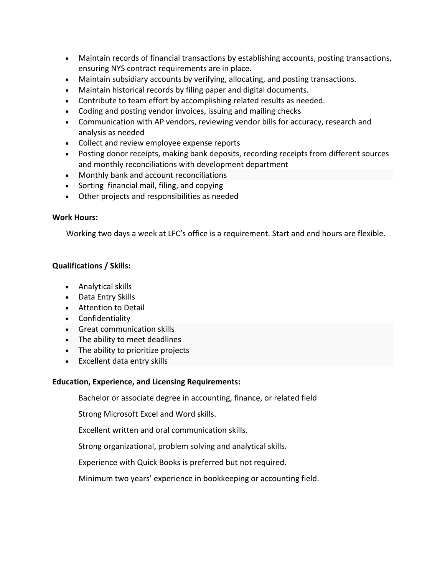- Maintain records of financial transactions by establishing accounts, posting transactions, ensuring NYS contract requirements are in place.
- Maintain subsidiary accounts by verifying, allocating, and posting transactions.
- Maintain historical records by filing paper and digital documents.
- Contribute to team effort by accomplishing related results as needed.
- Coding and posting vendor invoices, issuing and mailing checks
- Communication with AP vendors, reviewing vendor bills for accuracy, research and analysis as needed
- Collect and review employee expense reports
- Posting donor receipts, making bank deposits, recording receipts from different sources and monthly reconciliations with development department
- Monthly bank and account reconciliations
- Sorting financial mail, filing, and copying
- Other projects and responsibilities as needed

### **Work Hours:**

Working two days a week at LFC's office is a requirement. Start and end hours are flexible.

## **Qualifications / Skills:**

- Analytical skills
- Data Entry Skills
- Attention to Detail
- Confidentiality
- Great communication skills
- The ability to meet deadlines
- The ability to prioritize projects
- Excellent data entry skills

## **Education, Experience, and Licensing Requirements:**

Bachelor or associate degree in accounting, finance, or related field

Strong Microsoft Excel and Word skills.

Excellent written and oral communication skills.

Strong organizational, problem solving and analytical skills.

Experience with Quick Books is preferred but not required.

Minimum two years' experience in bookkeeping or accounting field.